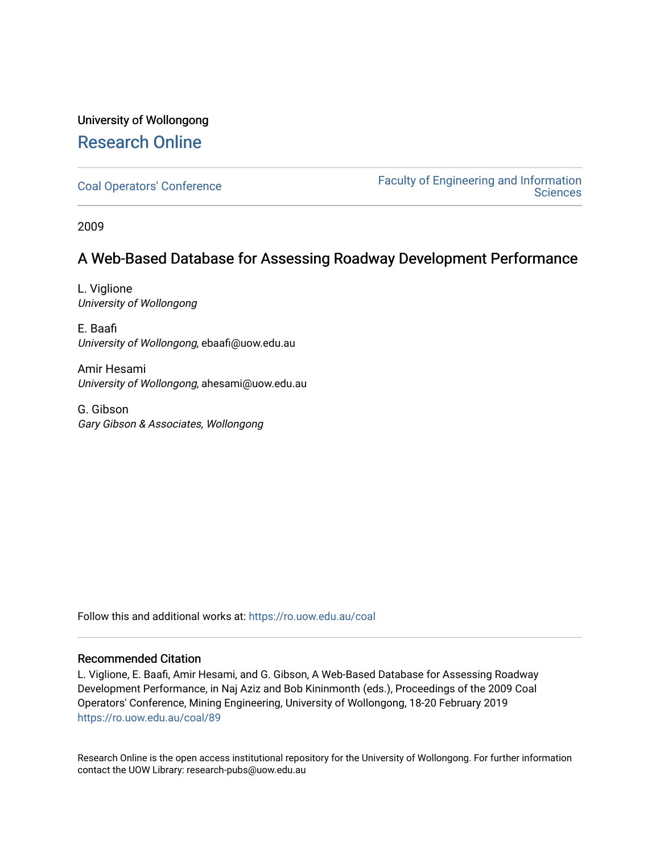### University of Wollongong [Research Online](https://ro.uow.edu.au/)

[Coal Operators' Conference](https://ro.uow.edu.au/coal) [Faculty of Engineering and Information](https://ro.uow.edu.au/eis)  **Sciences** 

2009

### A Web-Based Database for Assessing Roadway Development Performance

L. Viglione University of Wollongong

E. Baafi University of Wollongong, ebaafi@uow.edu.au

Amir Hesami University of Wollongong, ahesami@uow.edu.au

G. Gibson Gary Gibson & Associates, Wollongong

Follow this and additional works at: [https://ro.uow.edu.au/coal](https://ro.uow.edu.au/coal?utm_source=ro.uow.edu.au%2Fcoal%2F89&utm_medium=PDF&utm_campaign=PDFCoverPages) 

#### Recommended Citation

L. Viglione, E. Baafi, Amir Hesami, and G. Gibson, A Web-Based Database for Assessing Roadway Development Performance, in Naj Aziz and Bob Kininmonth (eds.), Proceedings of the 2009 Coal Operators' Conference, Mining Engineering, University of Wollongong, 18-20 February 2019 [https://ro.uow.edu.au/coal/89](https://ro.uow.edu.au/coal/89?utm_source=ro.uow.edu.au%2Fcoal%2F89&utm_medium=PDF&utm_campaign=PDFCoverPages) 

Research Online is the open access institutional repository for the University of Wollongong. For further information contact the UOW Library: research-pubs@uow.edu.au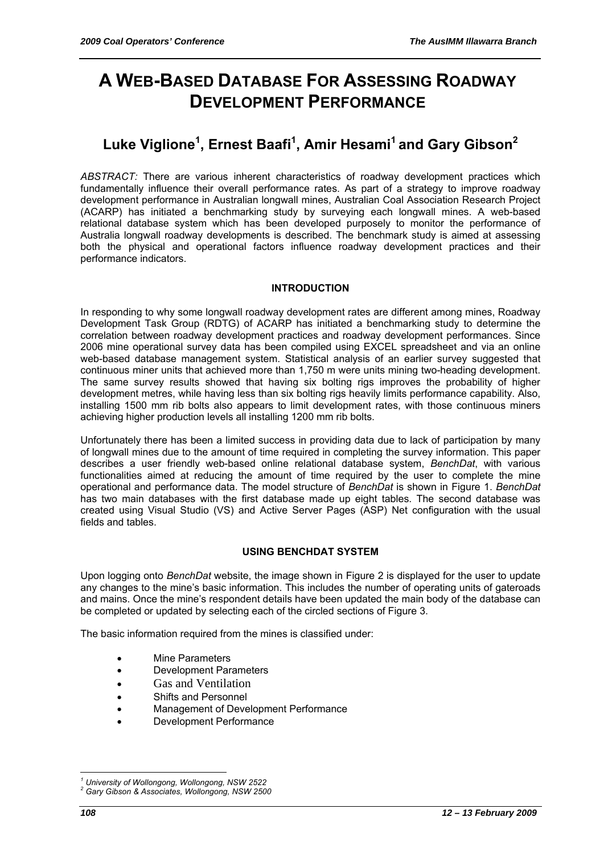# **A WEB-BASED DATABASE FOR ASSESSING ROADWAY DEVELOPMENT PERFORMANCE**

## **Luke Viglione<sup>1</sup> , Ernest Baafi<sup>1</sup> , Amir Hesami1 and Gary Gibson2**

*ABSTRACT:* There are various inherent characteristics of roadway development practices which fundamentally influence their overall performance rates. As part of a strategy to improve roadway development performance in Australian longwall mines, Australian Coal Association Research Project (ACARP) has initiated a benchmarking study by surveying each longwall mines. A web-based relational database system which has been developed purposely to monitor the performance of Australia longwall roadway developments is described. The benchmark study is aimed at assessing both the physical and operational factors influence roadway development practices and their performance indicators.

#### **INTRODUCTION**

In responding to why some longwall roadway development rates are different among mines, Roadway Development Task Group (RDTG) of ACARP has initiated a benchmarking study to determine the correlation between roadway development practices and roadway development performances. Since 2006 mine operational survey data has been compiled using EXCEL spreadsheet and via an online web-based database management system. Statistical analysis of an earlier survey suggested that continuous miner units that achieved more than 1,750 m were units mining two-heading development. The same survey results showed that having six bolting rigs improves the probability of higher development metres, while having less than six bolting rigs heavily limits performance capability. Also, installing 1500 mm rib bolts also appears to limit development rates, with those continuous miners achieving higher production levels all installing 1200 mm rib bolts.

Unfortunately there has been a limited success in providing data due to lack of participation by many of longwall mines due to the amount of time required in completing the survey information. This paper describes a user friendly web-based online relational database system, *BenchDat*, with various functionalities aimed at reducing the amount of time required by the user to complete the mine operational and performance data. The model structure of *BenchDat* is shown in Figure 1. *BenchDat*  has two main databases with the first database made up eight tables. The second database was created using Visual Studio (VS) and Active Server Pages (ASP) Net configuration with the usual fields and tables.

#### **USING BENCHDAT SYSTEM**

Upon logging onto *BenchDat* website, the image shown in Figure 2 is displayed for the user to update any changes to the mine's basic information. This includes the number of operating units of gateroads and mains. Once the mine's respondent details have been updated the main body of the database can be completed or updated by selecting each of the circled sections of Figure 3.

The basic information required from the mines is classified under:

- Mine Parameters
- Development Parameters
- Gas and Ventilation
- Shifts and Personnel
- Management of Development Performance
- Development Performance

 $\overline{a}$ *1 University of Wollongong, Wollongong, NSW 2522* 

*<sup>2</sup> Gary Gibson & Associates, Wollongong, NSW 2500*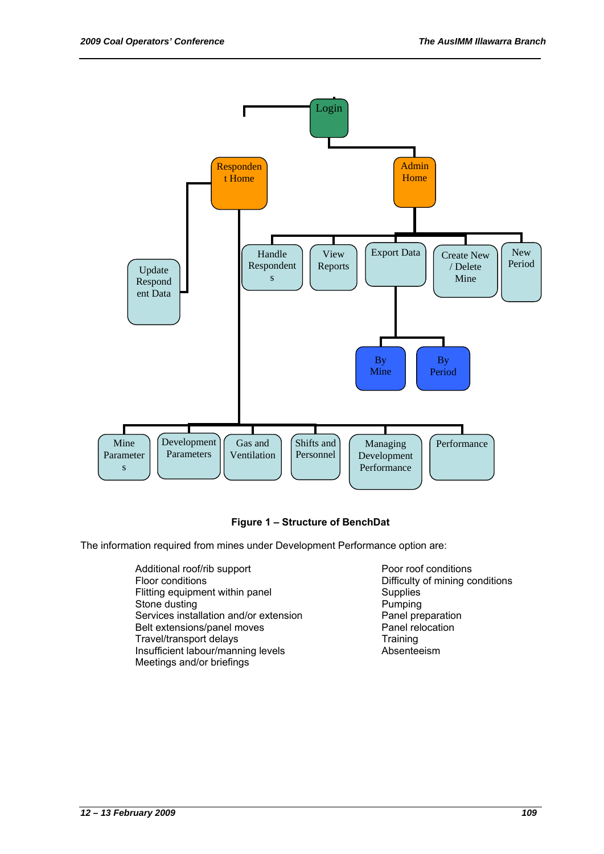

#### **Figure 1 – Structure of BenchDat**

The information required from mines under Development Performance option are:

- Additional roof/rib support Poor roof conditions Floor conditions **Example 2** Difficulty of mining conditions Flitting equipment within panel Supplies<br>
Stone dusting<br>
Pumping Stone dusting<br>
Services installation and/or extension<br>
Panel preparation Services installation and/or extension<br>
Belt extensions/panel moves<br>
Panel relocation Belt extensions/panel moves<br>
Travel/transport delays<br>
Training Travel/transport delays<br>
Insufficient labour/manning levels<br>
Absenteeism Insufficient labour/manning levels Meetings and/or briefings
	-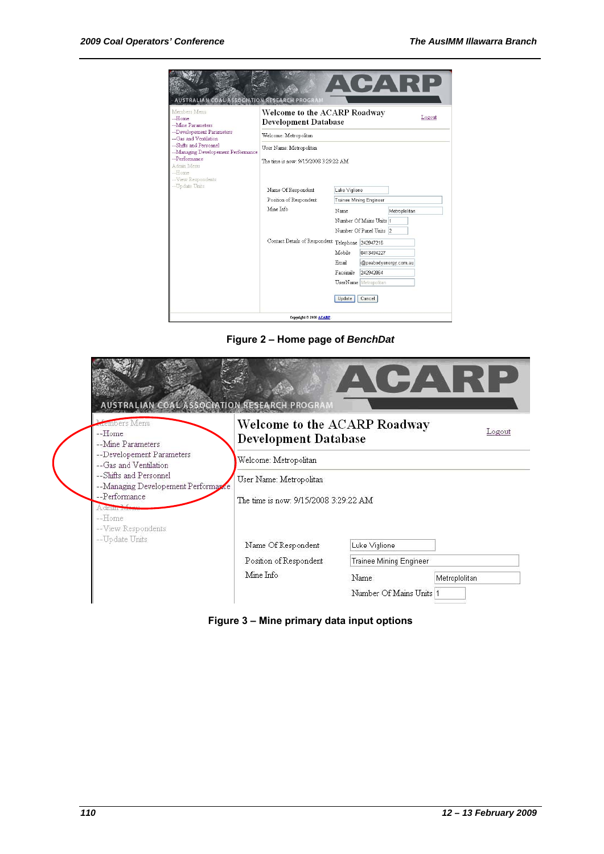| Members Menu<br>--Home<br>--Mine Parameters<br>--Developement Parameters<br>--Gas and Ventilation                     | Welcome to the ACARP Roadway<br><b>Development Database</b> |                                |                                                    |               |  |
|-----------------------------------------------------------------------------------------------------------------------|-------------------------------------------------------------|--------------------------------|----------------------------------------------------|---------------|--|
|                                                                                                                       | Welcome: Metropolitan                                       |                                |                                                    |               |  |
| --Shifts and Personnel                                                                                                | User Name: Metropolitan                                     |                                |                                                    |               |  |
| --Managing Developement Performance<br>--Performance<br>Admin Menu<br>--Home<br>--View Respondents<br>--Up date Units | The time is now: 9/15/2008 3:29:22 AM                       |                                |                                                    |               |  |
|                                                                                                                       | Name Of Respondent                                          | Luke Viglione                  |                                                    |               |  |
|                                                                                                                       | Position of Respondent                                      | <b>Trainee Mining Engineer</b> |                                                    |               |  |
|                                                                                                                       | Mine Info                                                   | Name                           | Number Of Mains Units 1<br>Number Of Panel Units 2 | Metroplolitan |  |
|                                                                                                                       | Contact Details of Respondent Telephone 242947216           |                                |                                                    |               |  |
|                                                                                                                       |                                                             | Mobile                         | 0413494227                                         |               |  |
|                                                                                                                       |                                                             | Email                          | @peabodyenergy.com.au                              |               |  |
|                                                                                                                       |                                                             | Facsimile                      | 242942064                                          |               |  |
|                                                                                                                       | UserName Metropolitan                                       |                                |                                                    |               |  |

**Figure 2 – Home page of** *BenchDat* 

|                                                                                                     | <b>COAL ASSOCIATION RESEARCH PROGRAM</b>                    | ARTA ET                        |               |  |  |  |
|-----------------------------------------------------------------------------------------------------|-------------------------------------------------------------|--------------------------------|---------------|--|--|--|
| <b>Armbers</b> Menu<br>--Home<br>--Mine Parameters                                                  | Welcome to the ACARP Roadway<br><b>Development Database</b> |                                | Logout        |  |  |  |
| --Developement Parameters<br>--Gas and Ventilation                                                  | Welcome: Metropolitan                                       |                                |               |  |  |  |
| --Shifts and Personnel                                                                              | User Name: Metropolitan                                     |                                |               |  |  |  |
| -- Managing Developement Performance<br>--Performance<br>A dimin Monu<br>-Home<br>-View Respondents | The time is now: 9/15/2008 3:29:22 AM                       |                                |               |  |  |  |
| --Update Units                                                                                      | Name Of Respondent                                          | Luke Viglione                  |               |  |  |  |
|                                                                                                     | Position of Respondent                                      | <b>Trainee Mining Engineer</b> |               |  |  |  |
|                                                                                                     | Mine Info                                                   | Name.                          | Metroplolitan |  |  |  |
|                                                                                                     |                                                             | Number Of Mains Units 1        |               |  |  |  |

**Figure 3 – Mine primary data input options**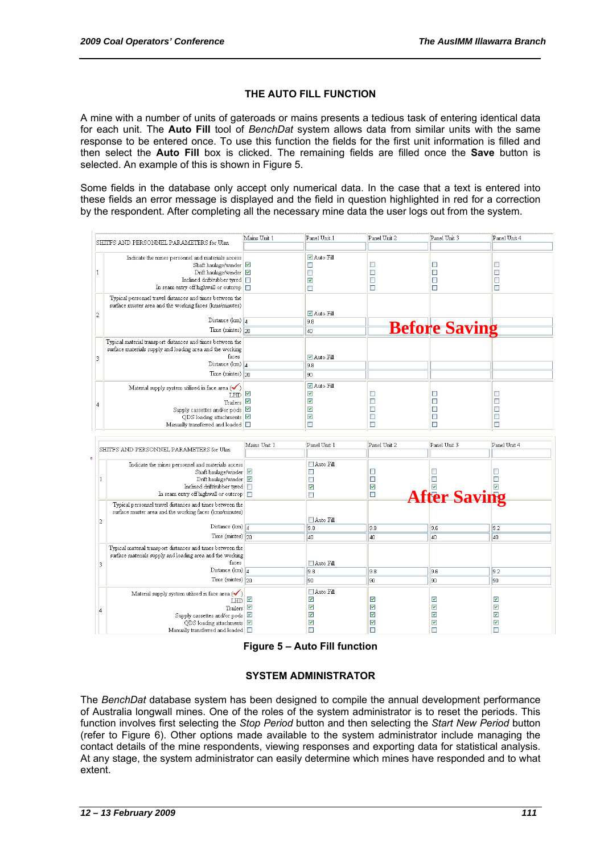#### **THE AUTO FILL FUNCTION**

A mine with a number of units of gateroads or mains presents a tedious task of entering identical data for each unit. The **Auto Fill** tool of *BenchDat* system allows data from similar units with the same response to be entered once. To use this function the fields for the first unit information is filled and then select the **Auto Fill** box is clicked. The remaining fields are filled once the **Save** button is selected. An example of this is shown in Figure 5.

Some fields in the database only accept only numerical data. In the case that a text is entered into these fields an error message is displayed and the field in question highlighted in red for a correction by the respondent. After completing all the necessary mine data the user logs out from the system.

|                         |                                                                                                                                                                                                                                                    | Mains Unit 1                                    | Panel Unit 1                                                                                                       | Panel Unit 2                         | Panel Unit 3                                                           | Panel Unit 4                                |
|-------------------------|----------------------------------------------------------------------------------------------------------------------------------------------------------------------------------------------------------------------------------------------------|-------------------------------------------------|--------------------------------------------------------------------------------------------------------------------|--------------------------------------|------------------------------------------------------------------------|---------------------------------------------|
|                         | SHITFS AND PERSONNEL PARAMETERS for Ulan                                                                                                                                                                                                           |                                                 |                                                                                                                    |                                      |                                                                        |                                             |
| 1                       | Indicate the mines personnel and materials access<br>Shaft haulage/winder<br>Drift haulage/winder<br>Inclined drift/rubber tyred<br>In seam entry off highwall or outcrop                                                                          |                                                 | <b>▽</b> Auto Fill<br>$\Box$<br>$\Box$<br>$\overline{\mathbf{v}}$<br>$\Box$                                        | □<br>$\Box$<br>$\Box$<br>$\Box$      | □<br>$\Box$<br>$\Box$<br>$\Box$                                        | □<br>Ω<br>□<br>$\Box$                       |
| 2                       | Typical personnel travel distances and times between the<br>surface muster area and the working faces (kms/minutes)                                                                                                                                |                                                 | <b>⊽</b> Auto Fill                                                                                                 |                                      |                                                                        |                                             |
|                         | Distance (km) $_4$                                                                                                                                                                                                                                 |                                                 | 9.8                                                                                                                |                                      |                                                                        |                                             |
|                         | Time (mintes) $2n$                                                                                                                                                                                                                                 |                                                 | 40                                                                                                                 |                                      | <b>Before Saving</b>                                                   |                                             |
| 3                       | Typical material transport distances and times between the<br>surface materials supply and loading area and the working<br>faces<br>Distance (km) $_4$                                                                                             |                                                 | ■ Auto Fill<br>9.8                                                                                                 |                                      |                                                                        |                                             |
|                         | Time (mintes) 20                                                                                                                                                                                                                                   |                                                 | 90                                                                                                                 |                                      |                                                                        |                                             |
|                         |                                                                                                                                                                                                                                                    |                                                 |                                                                                                                    |                                      |                                                                        |                                             |
| 4                       | Material supply system utilised in face area $(\checkmark)$<br>LHD ■<br>Trailers $\boxed{\triangleright}$<br>Supply cassettes and/or pods $\boxed{\triangleright}$<br>$QDS$ loading attachments $\triangledown$<br>Manually transferred and loaded |                                                 | <b>▽</b> Auto Fill<br>$\overline{\mathbf{v}}$<br>$\overline{\mathbf{v}}$<br>▽<br>$\overline{\mathbf{v}}$<br>$\Box$ | □<br>$\Box$<br>□<br>$\Box$<br>$\Box$ | $\Box$<br>$\Box$<br>$\Box$<br>$\Box$<br>П                              | □<br>$\Box$<br>$\Box$<br>$\Box$<br>П        |
|                         |                                                                                                                                                                                                                                                    |                                                 |                                                                                                                    |                                      |                                                                        |                                             |
|                         |                                                                                                                                                                                                                                                    |                                                 |                                                                                                                    |                                      |                                                                        |                                             |
|                         |                                                                                                                                                                                                                                                    | Mains Unit 1                                    | Panel Unit 1                                                                                                       | Panel Unit 2                         | Panel Unit 3                                                           | Panel Unit 4                                |
|                         | SHITFS AND PERSONNEL PARAMETERS for Ulan                                                                                                                                                                                                           |                                                 |                                                                                                                    |                                      |                                                                        |                                             |
| 1                       | Indicate the mines personnel and materials access<br>Shaft haulage/winder $\boxed{\triangleright}$<br>Drift haulage/winder<br>Inclined drift/rubber tyred  <br>In seam entry off highwall or outcrop                                               |                                                 | □ Auto Fill<br>$\Box$<br>$\Box$<br>$\overline{\mathbf{v}}$<br>П                                                    | $\Box$<br>$\Box$<br>☑<br>П           | $\Box$<br>$\Box$<br>$\triangleright$                                   | $\Box$<br>$\Box$<br>$\overline{\mathbf{v}}$ |
|                         | Typical personnel travel distances and times between the<br>surface muster area and the working faces (kms/minutes)                                                                                                                                |                                                 | □ Auto Fill                                                                                                        |                                      | <b>After Saving</b>                                                    |                                             |
| 2                       | Distance (km) $\sqrt{4}$                                                                                                                                                                                                                           |                                                 | 9.8                                                                                                                | 9.8                                  | 9.6                                                                    | 9.2                                         |
|                         | Time (mintes) 20                                                                                                                                                                                                                                   |                                                 | 40                                                                                                                 | 40                                   | 40                                                                     | 4 <sub>0</sub>                              |
| $\overline{\mathbf{3}}$ | Typical material transport distances and times between the<br>surface materials supply and loading area and the working<br>faces                                                                                                                   |                                                 | □ Auto Fill                                                                                                        |                                      |                                                                        |                                             |
|                         | Distance (km) $_4$                                                                                                                                                                                                                                 |                                                 | 9.8                                                                                                                | 9.8                                  | 9.6                                                                    | 9.2                                         |
|                         | Time $(mintes)$ 20                                                                                                                                                                                                                                 |                                                 | l9n                                                                                                                | 90                                   | 90                                                                     | 90                                          |
| 4                       | Material supply system utilised in face area $(\checkmark)$<br><b>LHD</b><br>Trailers<br>Supply cassettes and/or pods<br>QDS loading attachments<br>Manually transferred and loaded                                                                | $\blacktriangledown$<br>$\overline{\mathbf{v}}$ | □ Auto Fill<br>$\blacktriangledown$<br>$\overline{\mathbf{v}}$<br>▽<br>$\overline{\mathbf{v}}$<br>$\Box$           | ☑<br>☑<br>▽<br>☑<br>П                | ☑<br>▽<br>$\overline{\mathbf{v}}$<br>$\overline{\mathbf{v}}$<br>$\Box$ | ☑<br>☑<br>☑<br>☑<br>$\Box$                  |

**Figure 5 – Auto Fill function** 

#### **SYSTEM ADMINISTRATOR**

The *BenchDat* database system has been designed to compile the annual development performance of Australia longwall mines. One of the roles of the system administrator is to reset the periods. This function involves first selecting the *Stop Period* button and then selecting the *Start New Period* button (refer to Figure 6). Other options made available to the system administrator include managing the contact details of the mine respondents, viewing responses and exporting data for statistical analysis. At any stage, the system administrator can easily determine which mines have responded and to what extent.